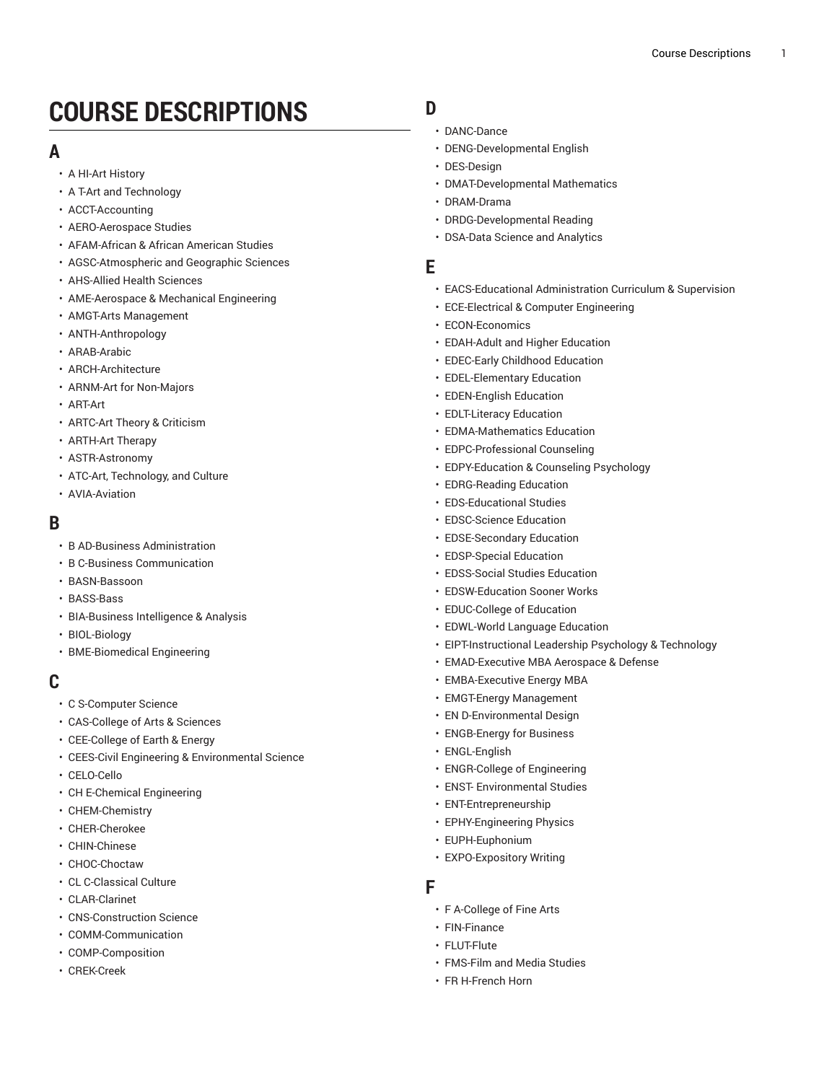# **COURSE DESCRIPTIONS**

#### **A**

- A HI-Art [History](https://ou-public.courseleaf.com/archived-catalogs/2021-2022/courses/a_hi/)
- A T-Art and [Technology](https://ou-public.courseleaf.com/archived-catalogs/2021-2022/courses/a_t/)
- [ACCT-Accounting](https://ou-public.courseleaf.com/archived-catalogs/2021-2022/courses/acct/)
- [AERO-Aerospace](https://ou-public.courseleaf.com/archived-catalogs/2021-2022/courses/aero/) Studies
- [AFAM-African](https://ou-public.courseleaf.com/archived-catalogs/2021-2022/courses/afam/) & African American Studies
- [AGSC-Atmospheric](https://ou-public.courseleaf.com/archived-catalogs/2021-2022/courses/agsc/) and Geographic Sciences
- [AHS-Allied Health Sciences](https://ou-public.courseleaf.com/archived-catalogs/2021-2022/courses/ahs/)
- [AME-Aerospace](https://ou-public.courseleaf.com/archived-catalogs/2021-2022/courses/ame/) & Mechanical Engineering
- AMGT-Arts [Management](https://ou-public.courseleaf.com/archived-catalogs/2021-2022/courses/amgt/)
- [ANTH-Anthropology](https://ou-public.courseleaf.com/archived-catalogs/2021-2022/courses/anth/)
- [ARAB-Arabic](https://ou-public.courseleaf.com/archived-catalogs/2021-2022/courses/arab/)
- [ARCH-Architecture](https://ou-public.courseleaf.com/archived-catalogs/2021-2022/courses/arch/)
- ARNM-Art for [Non-Majors](https://ou-public.courseleaf.com/archived-catalogs/2021-2022/courses/arnm/)
- [ART-Art](https://ou-public.courseleaf.com/archived-catalogs/2021-2022/courses/art/)
- [ARTC-Art](https://ou-public.courseleaf.com/archived-catalogs/2021-2022/courses/artc/) Theory & Criticism
- [ARTH-Art](https://ou-public.courseleaf.com/archived-catalogs/2021-2022/courses/arth/) Therapy
- [ASTR-Astronomy](https://ou-public.courseleaf.com/archived-catalogs/2021-2022/courses/astr/)
- ATC-Art, [Technology,](https://ou-public.courseleaf.com/archived-catalogs/2021-2022/courses/atc/) and Culture
- [AVIA-Aviation](https://ou-public.courseleaf.com/archived-catalogs/2021-2022/courses/avia/)

#### **B**

- [B AD-Business Administration](https://ou-public.courseleaf.com/archived-catalogs/2021-2022/courses/b_ad/)
- [B C-Business Communication](https://ou-public.courseleaf.com/archived-catalogs/2021-2022/courses/b_c/)
- [BASN-Bassoon](https://ou-public.courseleaf.com/archived-catalogs/2021-2022/courses/basn/)
- [BASS-Bass](https://ou-public.courseleaf.com/archived-catalogs/2021-2022/courses/bass/)
- [BIA-Business](https://ou-public.courseleaf.com/archived-catalogs/2021-2022/courses/bia/) Intelligence & Analysis
- [BIOL-Biology](https://ou-public.courseleaf.com/archived-catalogs/2021-2022/courses/biol/)
- [BME-Biomedical Engineering](https://ou-public.courseleaf.com/archived-catalogs/2021-2022/courses/bme/)

#### **C**

- [C S-Computer Science](https://ou-public.courseleaf.com/archived-catalogs/2021-2022/courses/c_s/)
- [CAS-College](https://ou-public.courseleaf.com/archived-catalogs/2021-2022/courses/cas/) of Arts & Sciences
- [CEE-College](https://ou-public.courseleaf.com/archived-catalogs/2021-2022/courses/cee/) of Earth & Energy
- CEES-Civil Engineering & [Environmental](https://ou-public.courseleaf.com/archived-catalogs/2021-2022/courses/cees/) Science
- [CELO-Cello](https://ou-public.courseleaf.com/archived-catalogs/2021-2022/courses/celo/)
- [CH E-Chemical Engineering](https://ou-public.courseleaf.com/archived-catalogs/2021-2022/courses/ch_e/)
- [CHEM-Chemistry](https://ou-public.courseleaf.com/archived-catalogs/2021-2022/courses/chem/)
- [CHER-Cherokee](https://ou-public.courseleaf.com/archived-catalogs/2021-2022/courses/cher/)
- [CHIN-Chinese](https://ou-public.courseleaf.com/archived-catalogs/2021-2022/courses/chin/)
- [CHOC-Choctaw](https://ou-public.courseleaf.com/archived-catalogs/2021-2022/courses/choc/)
- CL [C-Classical](https://ou-public.courseleaf.com/archived-catalogs/2021-2022/courses/cl_c/) Culture
- [CLAR-Clarinet](https://ou-public.courseleaf.com/archived-catalogs/2021-2022/courses/clar/)
- [CNS-Construction Science](https://ou-public.courseleaf.com/archived-catalogs/2021-2022/courses/cns/)
- [COMM-Communication](https://ou-public.courseleaf.com/archived-catalogs/2021-2022/courses/comm/)
- [COMP-Composition](https://ou-public.courseleaf.com/archived-catalogs/2021-2022/courses/comp/)
- [CREK-Creek](https://ou-public.courseleaf.com/archived-catalogs/2021-2022/courses/crek/)

# **D**

- DA[N](https://ou-public.courseleaf.com/archived-catalogs/2021-2022/courses/danc/)C-Dance
- DENG-Developmental En[glis](https://ou-public.courseleaf.com/archived-catalogs/2021-2022/courses/deng/)h
- [DES-Design](https://ou-public.courseleaf.com/archived-catalogs/2021-2022/courses/des/)
- [DMAT-Develo](https://ou-public.courseleaf.com/archived-catalogs/2021-2022/courses/dmat/)pmental Mathematics
- [DRAM-Drama](https://ou-public.courseleaf.com/archived-catalogs/2021-2022/courses/dram/)
- [DRDG-Develop](https://ou-public.courseleaf.com/archived-catalogs/2021-2022/courses/drdg/)mental Reading
- [DSA-Data Science and Analytics](https://ou-public.courseleaf.com/archived-catalogs/2021-2022/courses/dsa/)

#### **E**

- EACS-Educational Ad[minis](https://ou-public.courseleaf.com/archived-catalogs/2021-2022/courses/eacs/)tration Curriculum & Supervision
- [ECE-Electrical & Computer Engineering](https://ou-public.courseleaf.com/archived-catalogs/2021-2022/courses/ece/)
- [ECON-Economics](https://ou-public.courseleaf.com/archived-catalogs/2021-2022/courses/econ/)
- [EDAH-Adult](https://ou-public.courseleaf.com/archived-catalogs/2021-2022/courses/edah/) and Higher Education
- [EDEC-Early](https://ou-public.courseleaf.com/archived-catalogs/2021-2022/courses/edec/) Childhood Education
- [EDEL-Elementary](https://ou-public.courseleaf.com/archived-catalogs/2021-2022/courses/edel/) Education
- [EDEN-English](https://ou-public.courseleaf.com/archived-catalogs/2021-2022/courses/eden/) Education
- [EDLT-Literacy](https://ou-public.courseleaf.com/archived-catalogs/2021-2022/courses/edlt/) Education
- [EDMA-Mathematics](https://ou-public.courseleaf.com/archived-catalogs/2021-2022/courses/edma/) Education
- [EDPC-Professional](https://ou-public.courseleaf.com/archived-catalogs/2021-2022/courses/edpc/) Counseling
- [EDPY-Education](https://ou-public.courseleaf.com/archived-catalogs/2021-2022/courses/edpy/) & Counseling Psychology
- EDRG-Rea[din](https://ou-public.courseleaf.com/archived-catalogs/2021-2022/courses/edrg/)g Education
- EDS-Educational Stu[die](https://ou-public.courseleaf.com/archived-catalogs/2021-2022/courses/eds/)s
- EDSC-S[cie](https://ou-public.courseleaf.com/archived-catalogs/2021-2022/courses/edsc/)nce Education
- EDSE-Secondary Educa[tio](https://ou-public.courseleaf.com/archived-catalogs/2021-2022/courses/edse/)n
- EDSP-Spe[cial](https://ou-public.courseleaf.com/archived-catalogs/2021-2022/courses/edsp/) Education
- EDSS-So[cial](https://ou-public.courseleaf.com/archived-catalogs/2021-2022/courses/edss/) Studies Education
- EDSW-Educa[tio](https://ou-public.courseleaf.com/archived-catalogs/2021-2022/courses/edsw/)n Sooner Works
- EDUC-C[olle](https://ou-public.courseleaf.com/archived-catalogs/2021-2022/courses/educ/)ge of Education
- EDWL-World Language Educa[tio](https://ou-public.courseleaf.com/archived-catalogs/2021-2022/courses/edwl/)n
- EIP[T-In](https://ou-public.courseleaf.com/archived-catalogs/2021-2022/courses/eipt/)structional Leadership Psychology & Technology
- EMAD-Execu[tiv](https://ou-public.courseleaf.com/archived-catalogs/2021-2022/courses/emad/)e MBA Aerospace & Defense
- EMBA-Execu[tiv](https://ou-public.courseleaf.com/archived-catalogs/2021-2022/courses/emba/)e Energy MBA
- E[M](https://ou-public.courseleaf.com/archived-catalogs/2021-2022/courses/emgt/)GT-Energy Management
- EN D-Environmental De[sig](https://ou-public.courseleaf.com/archived-catalogs/2021-2022/courses/en_d/)n
- ENGB-Energy for Bu[sin](https://ou-public.courseleaf.com/archived-catalogs/2021-2022/courses/engb/)ess
- [ENGL-English](https://ou-public.courseleaf.com/archived-catalogs/2021-2022/courses/engl/)
- [ENGR-College of Engineering](https://ou-public.courseleaf.com/archived-catalogs/2021-2022/courses/engr/)
- ENST- [Environmental](https://ou-public.courseleaf.com/archived-catalogs/2021-2022/courses/enst/) Studies
- [ENT-Entrepreneurship](https://ou-public.courseleaf.com/archived-catalogs/2021-2022/courses/ent/)
- [EPHY-Engineering](https://ou-public.courseleaf.com/archived-catalogs/2021-2022/courses/ephy/) Physics
- [EUPH-Euphonium](https://ou-public.courseleaf.com/archived-catalogs/2021-2022/courses/euph/)
- [EXPO-Expository](https://ou-public.courseleaf.com/archived-catalogs/2021-2022/courses/expo/) Writing

#### **F**

- F A-C[olle](https://ou-public.courseleaf.com/archived-catalogs/2021-2022/courses/f_a/)ge of Fine Arts
- [FIN-Finance](https://ou-public.courseleaf.com/archived-catalogs/2021-2022/courses/fin/)
- [FLUT-Flute](https://ou-public.courseleaf.com/archived-catalogs/2021-2022/courses/flut/)
- [FMS-Film and Media Studies](https://ou-public.courseleaf.com/archived-catalogs/2021-2022/courses/fms/)
- FR [H-French](https://ou-public.courseleaf.com/archived-catalogs/2021-2022/courses/fr_h/) Horn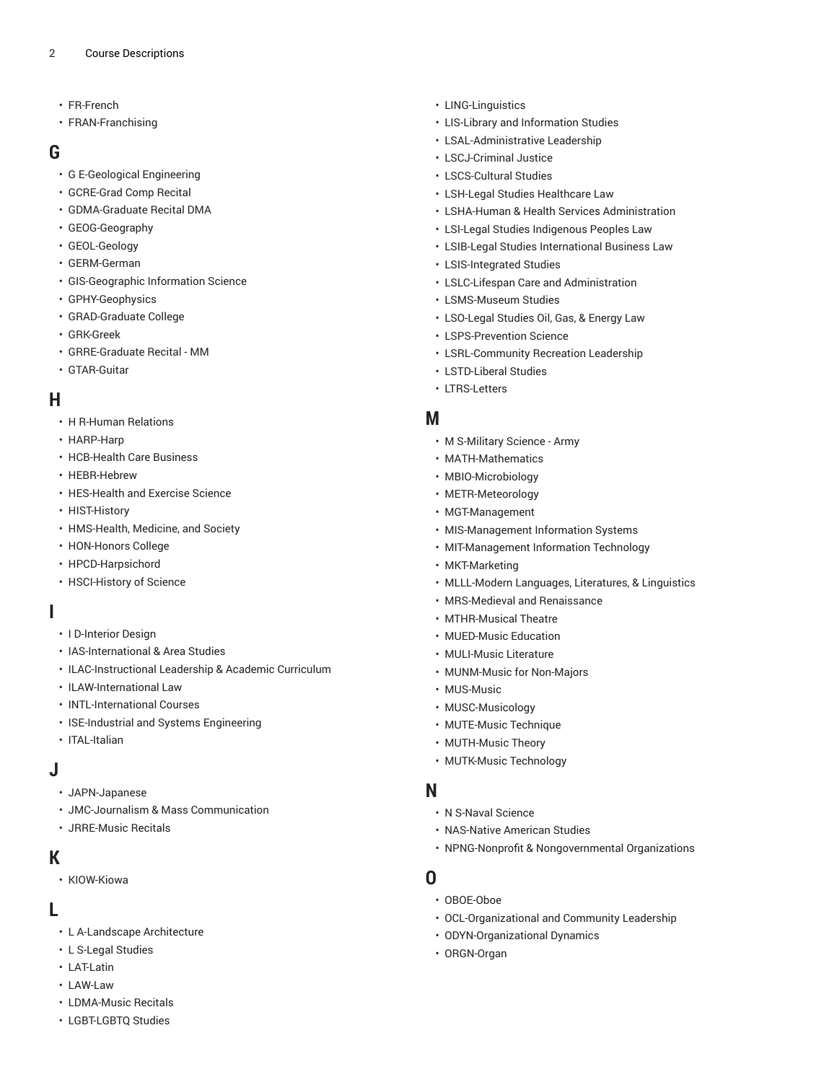- [FR-French](https://ou-public.courseleaf.com/archived-catalogs/2021-2022/courses/fr/)
- [FRAN-Franchising](https://ou-public.courseleaf.com/archived-catalogs/2021-2022/courses/fran/)

#### **G**

- [G E-Geological Engineering](https://ou-public.courseleaf.com/archived-catalogs/2021-2022/courses/g_e/)
- [GCRE-Grad Comp Recital](https://ou-public.courseleaf.com/archived-catalogs/2021-2022/courses/gcre/)
- [GDMA-Graduate](https://ou-public.courseleaf.com/archived-catalogs/2021-2022/courses/gdma/) Recital DMA
- [GEOG-Geography](https://ou-public.courseleaf.com/archived-catalogs/2021-2022/courses/geog/)
- [GEOL-Geology](https://ou-public.courseleaf.com/archived-catalogs/2021-2022/courses/geol/)
- [GERM-German](https://ou-public.courseleaf.com/archived-catalogs/2021-2022/courses/germ/)
- [GIS-Geographic Information Science](https://ou-public.courseleaf.com/archived-catalogs/2021-2022/courses/gis/)
- [GPHY-Geophysics](https://ou-public.courseleaf.com/archived-catalogs/2021-2022/courses/gphy/)
- [GRAD-Graduate College](https://ou-public.courseleaf.com/archived-catalogs/2021-2022/courses/grad/)
- [GRK-Greek](https://ou-public.courseleaf.com/archived-catalogs/2021-2022/courses/grk/)
- [GRRE-Graduate Recital MM](https://ou-public.courseleaf.com/archived-catalogs/2021-2022/courses/grre/)
- [GTAR-Guitar](https://ou-public.courseleaf.com/archived-catalogs/2021-2022/courses/gtar/)

## **H**

- [H R-Human Relations](https://ou-public.courseleaf.com/archived-catalogs/2021-2022/courses/h_r/)
- [HARP-Harp](https://ou-public.courseleaf.com/archived-catalogs/2021-2022/courses/harp/)
- [HCB-Health](https://ou-public.courseleaf.com/archived-catalogs/2021-2022/courses/hcb/) Care Business
- [HEBR-Hebrew](https://ou-public.courseleaf.com/archived-catalogs/2021-2022/courses/hebr/)
- [HES-Health](https://ou-public.courseleaf.com/archived-catalogs/2021-2022/courses/hes/) and Exercise Science
- [HIST-History](https://ou-public.courseleaf.com/archived-catalogs/2021-2022/courses/hist/)
- [HMS-Health, Medicine, and Society](https://ou-public.courseleaf.com/archived-catalogs/2021-2022/courses/hms/)
- [HON-Honors College](https://ou-public.courseleaf.com/archived-catalogs/2021-2022/courses/hon/)
- [HPCD-Harpsichord](https://ou-public.courseleaf.com/archived-catalogs/2021-2022/courses/hpcd/)
- [HSCI-History](https://ou-public.courseleaf.com/archived-catalogs/2021-2022/courses/hsci/) of Science

#### **I**

- [I D-Interior Design](https://ou-public.courseleaf.com/archived-catalogs/2021-2022/courses/i_d/)
- [IAS-International](https://ou-public.courseleaf.com/archived-catalogs/2021-2022/courses/ias/) & Area Studies
- [ILAC-Instructional](https://ou-public.courseleaf.com/archived-catalogs/2021-2022/courses/ilac/) Leadership & Academic Curriculum
- [ILAW-International](https://ou-public.courseleaf.com/archived-catalogs/2021-2022/courses/ilaw/) Law
- [INTL-International](https://ou-public.courseleaf.com/archived-catalogs/2021-2022/courses/intl/) Courses
- [ISE-Industrial and Systems Engineering](https://ou-public.courseleaf.com/archived-catalogs/2021-2022/courses/ise/)
- [ITAL-Italian](https://ou-public.courseleaf.com/archived-catalogs/2021-2022/courses/ital/)

#### **J**

- [JAPN-Japanese](https://ou-public.courseleaf.com/archived-catalogs/2021-2022/courses/japn/)
- [JMC-Journalism & Mass Communication](https://ou-public.courseleaf.com/archived-catalogs/2021-2022/courses/jmc/)
- [JRRE-Music Recitals](https://ou-public.courseleaf.com/archived-catalogs/2021-2022/courses/jrre/)

## **K**

• [KIOW-Kiowa](https://ou-public.courseleaf.com/archived-catalogs/2021-2022/courses/kiow/)

## **L**

- L [A-Landscape](https://ou-public.courseleaf.com/archived-catalogs/2021-2022/courses/l_a/) Architecture
- [L S-Legal Studies](https://ou-public.courseleaf.com/archived-catalogs/2021-2022/courses/l_s/)
- [LAT-Latin](https://ou-public.courseleaf.com/archived-catalogs/2021-2022/courses/lat/)
- [LAW-Law](https://ou-public.courseleaf.com/archived-catalogs/2021-2022/courses/law/)
- [LDMA-Music](https://ou-public.courseleaf.com/archived-catalogs/2021-2022/courses/ldma/) Recitals
- [LGBT-LGBTQ](https://ou-public.courseleaf.com/archived-catalogs/2021-2022/courses/lgbt/) Studies
- [LING-Linguistics](https://ou-public.courseleaf.com/archived-catalogs/2021-2022/courses/ling/)
- LIS-Library and [Information](https://ou-public.courseleaf.com/archived-catalogs/2021-2022/courses/lis/) Studies
- [LSAL-Administrative](https://ou-public.courseleaf.com/archived-catalogs/2021-2022/courses/lsal/) Leadership
- [LSCJ-Criminal Justice](https://ou-public.courseleaf.com/archived-catalogs/2021-2022/courses/lscj/)
- [LSCS-Cultural Studies](https://ou-public.courseleaf.com/archived-catalogs/2021-2022/courses/lscs/)
- LSH-Legal Studies [Healthcare](https://ou-public.courseleaf.com/archived-catalogs/2021-2022/courses/lsh/) Law
- LSHA-Human & Health Services [Administration](https://ou-public.courseleaf.com/archived-catalogs/2021-2022/courses/lsha/)
- LSI-Legal Studies [Indigenous](https://ou-public.courseleaf.com/archived-catalogs/2021-2022/courses/lsi/) Peoples Law
- [LSIB-Legal Studies International Business Law](https://ou-public.courseleaf.com/archived-catalogs/2021-2022/courses/lsib/)
- [LSIS-Integrated Studies](https://ou-public.courseleaf.com/archived-catalogs/2021-2022/courses/lsis/)
- LSLC-Lifespan Care and [Administration](https://ou-public.courseleaf.com/archived-catalogs/2021-2022/courses/lslc/)
- [LSMS-Museum Studies](https://ou-public.courseleaf.com/archived-catalogs/2021-2022/courses/lsms/)
- [LSO-Legal](https://ou-public.courseleaf.com/archived-catalogs/2021-2022/courses/lso/) Studies Oil, Gas, & Energy Law
- [LSPS-Prevention](https://ou-public.courseleaf.com/archived-catalogs/2021-2022/courses/lsps/) Science
- [LSRL-Community](https://ou-public.courseleaf.com/archived-catalogs/2021-2022/courses/lsrl/) Recreation Leadership
- [LSTD-Liberal Studies](https://ou-public.courseleaf.com/archived-catalogs/2021-2022/courses/lstd/)
- [LTRS-Letters](https://ou-public.courseleaf.com/archived-catalogs/2021-2022/courses/ltrs/)

## **M**

- M [S-Military](https://ou-public.courseleaf.com/archived-catalogs/2021-2022/courses/m_s/) Science Army
- [MATH-Mathematics](https://ou-public.courseleaf.com/archived-catalogs/2021-2022/courses/math/)
- [MBIO-Microbiology](https://ou-public.courseleaf.com/archived-catalogs/2021-2022/courses/mbio/)
- [METR-Meteorology](https://ou-public.courseleaf.com/archived-catalogs/2021-2022/courses/metr/)
- [MGT-Management](https://ou-public.courseleaf.com/archived-catalogs/2021-2022/courses/mgt/)
- [MIS-Management Information Systems](https://ou-public.courseleaf.com/archived-catalogs/2021-2022/courses/mis/)
- [MIT-Management](https://ou-public.courseleaf.com/archived-catalogs/2021-2022/courses/mit/) Information Technology
- [MKT-Marketing](https://ou-public.courseleaf.com/archived-catalogs/2021-2022/courses/mkt/)
- [MLLL-Modern](https://ou-public.courseleaf.com/archived-catalogs/2021-2022/courses/mlll/) Languages, Literatures, & Linguistics
- [MRS-Medieval](https://ou-public.courseleaf.com/archived-catalogs/2021-2022/courses/mrs/) and Renaissance
- [MTHR-Musical](https://ou-public.courseleaf.com/archived-catalogs/2021-2022/courses/mthr/) Theatre
- [MUED-Music](https://ou-public.courseleaf.com/archived-catalogs/2021-2022/courses/mued/) Education
- [MULI-Music](https://ou-public.courseleaf.com/archived-catalogs/2021-2022/courses/muli/) Literature
- [MUNM-Music for Non-Majors](https://ou-public.courseleaf.com/archived-catalogs/2021-2022/courses/munm/)
- [MUS-Music](https://ou-public.courseleaf.com/archived-catalogs/2021-2022/courses/mus/)
- [MUSC-Musicology](https://ou-public.courseleaf.com/archived-catalogs/2021-2022/courses/musc/)
- [MUTE-Music](https://ou-public.courseleaf.com/archived-catalogs/2021-2022/courses/mute/) Technique
- [MUTH-Music](https://ou-public.courseleaf.com/archived-catalogs/2021-2022/courses/muth/) Theory
- [MUTK-Music](https://ou-public.courseleaf.com/archived-catalogs/2021-2022/courses/mutk/) Technology

## **N**

- N S-Naval [Science](https://ou-public.courseleaf.com/archived-catalogs/2021-2022/courses/n_s/)
- [NAS-Native](https://ou-public.courseleaf.com/archived-catalogs/2021-2022/courses/nas/) American Studies
- NPNG-Nonprofit & [Nongovernmental](https://ou-public.courseleaf.com/archived-catalogs/2021-2022/courses/npng/) Organizations

## **O**

- [OBOE-Oboe](https://ou-public.courseleaf.com/archived-catalogs/2021-2022/courses/oboe/)
- [OCL-Organizational](https://ou-public.courseleaf.com/archived-catalogs/2021-2022/courses/ocl/) and Community Leadership
- [ODYN-Organizational](https://ou-public.courseleaf.com/archived-catalogs/2021-2022/courses/odyn/) Dynamics
- [ORGN-Organ](https://ou-public.courseleaf.com/archived-catalogs/2021-2022/courses/orgn/)
- 
-